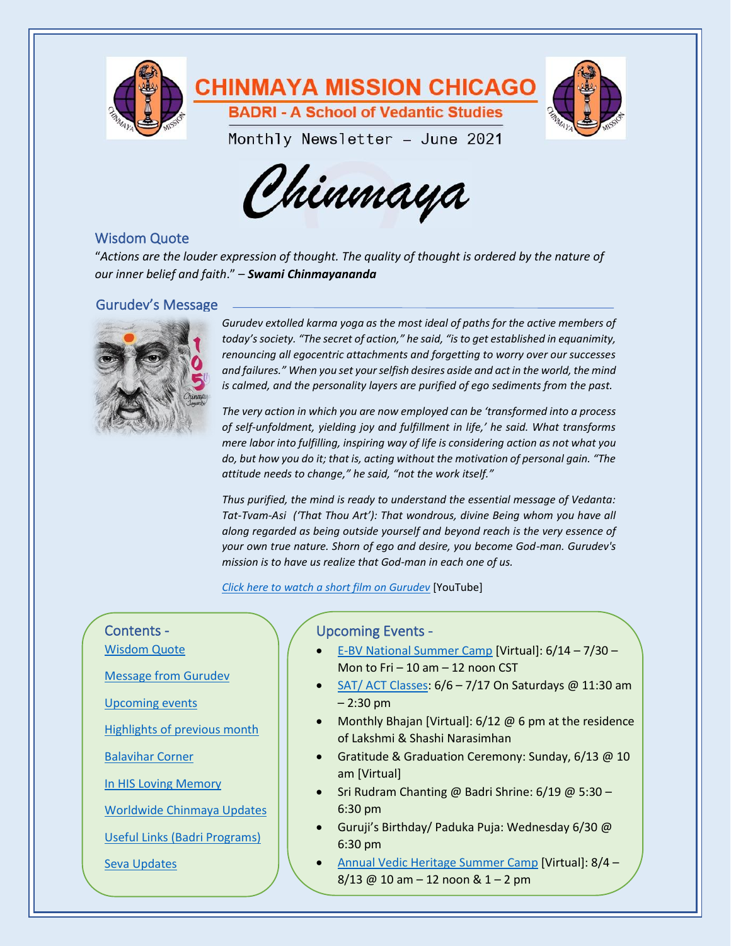



# <span id="page-0-0"></span>Wisdom Quote

"*Actions are the louder expression of thought. The quality of thought is ordered by the nature of our inner belief and faith*." – *Swami Chinmayananda*

# <span id="page-0-1"></span>Gurudev's Message



*Gurudev extolled karma yoga as the most ideal of paths for the active members of today's society. "The secret of action," he said, "is to get established in equanimity, renouncing all egocentric attachments and forgetting to worry over our successes and failures." When you set your selfish desires aside and act in the world, the mind is calmed, and the personality layers are purified of ego sediments from the past.*

*The very action in which you are now employed can be 'transformed into a process of self-unfoldment, yielding joy and fulfillment in life,' he said. What transforms mere labor into fulfilling, inspiring way of life is considering action as not what you do, but how you do it; that is, acting without the motivation of personal gain. "The attitude needs to change," he said, "not the work itself."*

*Thus purified, the mind is ready to understand the essential message of Vedanta: Tat-Tvam-Asi ('That Thou Art'): That wondrous, divine Being whom you have all along regarded as being outside yourself and beyond reach is the very essence of your own true nature. Shorn of ego and desire, you become God-man. Gurudev's mission is to have us realize that God-man in each one of us.*

*[Click here to watch a short film on Gurudev](https://www.youtube.com/watch?v=K1i_FWwUQsQ)* [YouTube]

# Contents -

[Wisdom Quote](#page-0-0)

[Message from Gurudev](#page-0-1)

[Upcoming events](#page-0-2)

Highlights [of previous](#page-1-0) month

[Balavihar Corner](#page-2-0)

[In HIS Loving Memory](#page-3-0)

[Worldwide Chinmaya Updates](#page-4-0)

Useful Links [\(Badri Programs\)](#page-3-1)

[Seva Updates](#page-4-1)

## <span id="page-0-2"></span>Upcoming Events -

- [E-BV National Summer Camp](https://chinmayamissionwest.com/summercamp/) [Virtual]: 6/14 7/30 Mon to Fri $-10$  am  $-12$  noon CST
- [SAT/ ACT Classes:](https://mychinmaya.org/activities/activities-for-children/sat/) 6/6 7/17 On Saturdays @ 11:30 am – 2:30 pm
- Monthly Bhajan [Virtual]: 6/12 @ 6 pm at the residence of Lakshmi & Shashi Narasimhan
- Gratitude & Graduation Ceremony: Sunday, 6/13 @ 10 am [Virtual]
- Sri Rudram Chanting @ Badri Shrine: 6/19 @ 5:30 6:30 pm
- Guruji's Birthday/ Paduka Puja: Wednesday 6/30 @ 6:30 pm
- [Annual Vedic Heritage Summer Camp](https://mychinmaya.org/annual-vedic-heritage-camp-2/) [Virtual]: 8/4 8/13 @ 10 am – 12 noon & 1 – 2 pm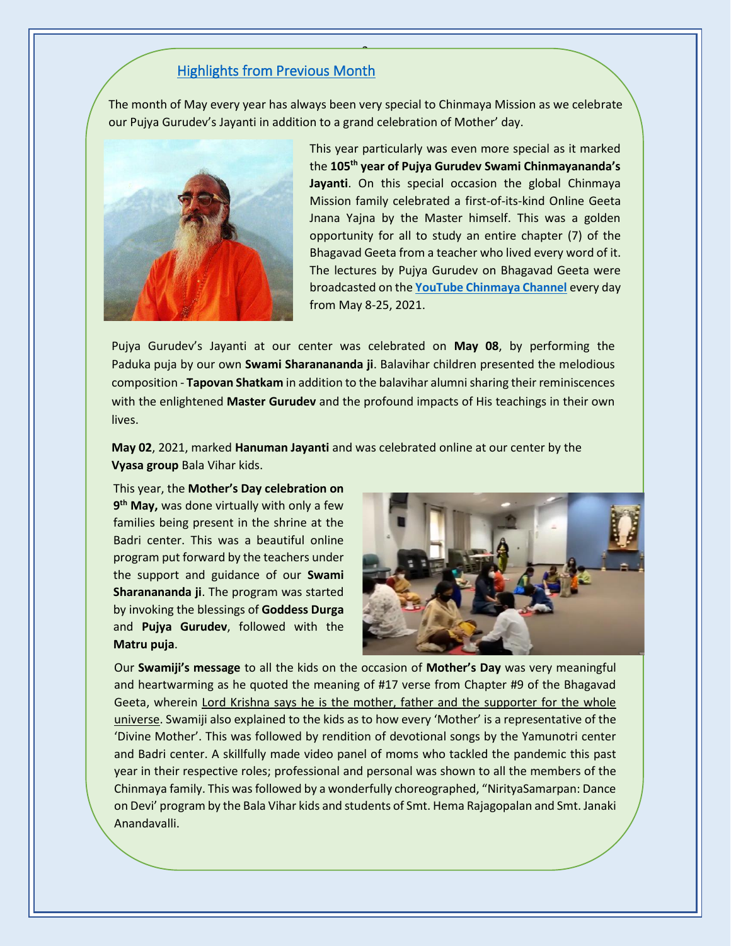## <span id="page-1-0"></span>Highlights from Previous Month

The month of May every year has always been very special to Chinmaya Mission as we celebrate our Pujya Gurudev's Jayanti in addition to a grand celebration of Mother' day.

2



This year particularly was even more special as it marked the **105th year of Pujya Gurudev Swami Chinmayananda's Jayanti**. On this special occasion the global Chinmaya Mission family celebrated a first-of-its-kind Online Geeta Jnana Yajna by the Master himself. This was a golden opportunity for all to study an entire chapter (7) of the Bhagavad Geeta from a teacher who lived every word of it. The lectures by Pujya Gurudev on Bhagavad Geeta were broadcasted on the **[YouTube Chinmaya Channel](https://www.youtube.com/user/ChinmayaChannel)** every day from May 8-25, 2021.

Pujya Gurudev's Jayanti at our center was celebrated on **May 08**, by performing the Paduka puja by our own **Swami Sharanananda ji**. Balavihar children presented the melodious composition - **Tapovan Shatkam** in addition to the balavihar alumni sharing their reminiscences with the enlightened **Master Gurudev** and the profound impacts of His teachings in their own lives.

**May 02**, 2021, marked **Hanuman Jayanti** and was celebrated online at our center by the **Vyasa group** Bala Vihar kids.

This year, the **Mother's Day celebration on 9 th May,** was done virtually with only a few families being present in the shrine at the Badri center. This was a beautiful online program put forward by the teachers under the support and guidance of our **Swami Sharanananda ji**. The program was started by invoking the blessings of **Goddess Durga** and **Pujya Gurudev**, followed with the **Matru puja**.



Our **Swamiji's message** to all the kids on the occasion of **Mother's Day** was very meaningful and heartwarming as he quoted the meaning of #17 verse from Chapter #9 of the Bhagavad Geeta, wherein Lord Krishna says he is the mother, father and the supporter for the whole universe. Swamiji also explained to the kids as to how every 'Mother' is a representative of the 'Divine Mother'. This was followed by rendition of devotional songs by the Yamunotri center and Badri center. A skillfully made video panel of moms who tackled the pandemic this past year in their respective roles; professional and personal was shown to all the members of the Chinmaya family. This was followed by a wonderfully choreographed, "NirityaSamarpan: Dance on Devi' program by the Bala Vihar kids and students of Smt. Hema Rajagopalan and Smt. Janaki Anandavalli.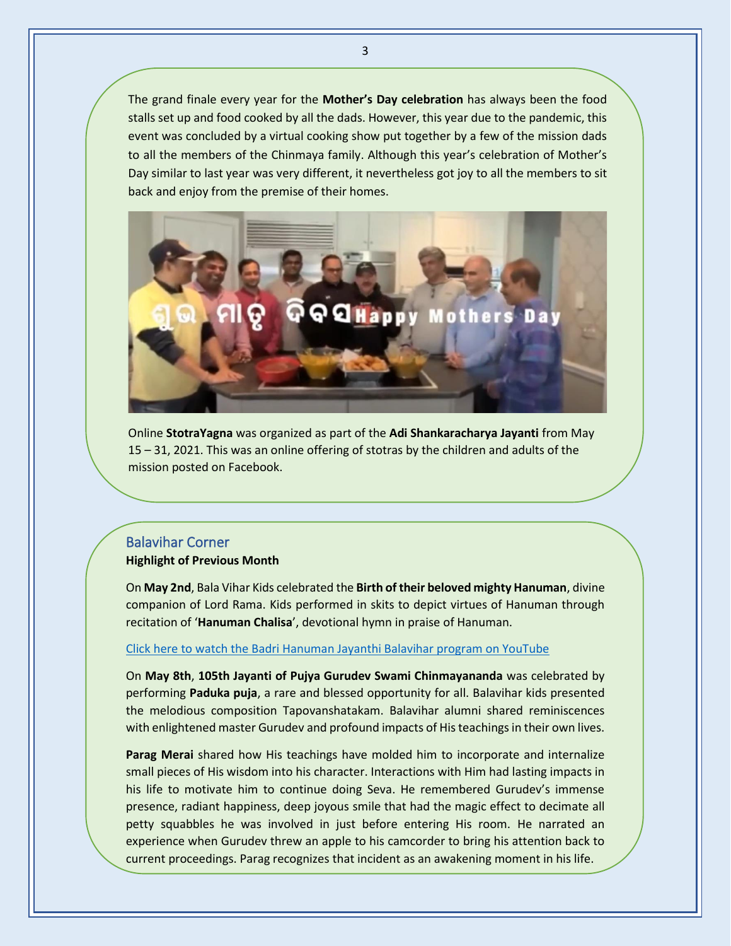The grand finale every year for the **Mother's Day celebration** has always been the food stalls set up and food cooked by all the dads. However, this year due to the pandemic, this event was concluded by a virtual cooking show put together by a few of the mission dads to all the members of the Chinmaya family. Although this year's celebration of Mother's Day similar to last year was very different, it nevertheless got joy to all the members to sit back and enjoy from the premise of their homes.



Online **StotraYagna** was organized as part of the **Adi Shankaracharya Jayanti** from May 15 – 31, 2021. This was an online offering of stotras by the children and adults of the mission posted on Facebook.

# <span id="page-2-0"></span>Balavihar Corner **Highlight of Previous Month**

On **May 2nd**, Bala Vihar Kids celebrated the **Birth of their beloved mighty Hanuman**, divine companion of Lord Rama. Kids performed in skits to depict virtues of Hanuman through recitation of '**Hanuman Chalisa**', devotional hymn in praise of Hanuman.

#### [Click here to watch the Badri Hanuman Jayanthi Balavihar program on YouTube](https://www.youtube.com/watch?v=IQB03TY5y30)

On **May 8th**, **105th Jayanti of Pujya Gurudev Swami Chinmayananda** was celebrated by performing **Paduka puja**, a rare and blessed opportunity for all. Balavihar kids presented the melodious composition Tapovanshatakam. Balavihar alumni shared reminiscences with enlightened master Gurudev and profound impacts of His teachings in their own lives.

**Parag Merai** shared how His teachings have molded him to incorporate and internalize small pieces of His wisdom into his character. Interactions with Him had lasting impacts in his life to motivate him to continue doing Seva. He remembered Gurudev's immense presence, radiant happiness, deep joyous smile that had the magic effect to decimate all petty squabbles he was involved in just before entering His room. He narrated an experience when Gurudev threw an apple to his camcorder to bring his attention back to current proceedings. Parag recognizes that incident as an awakening moment in his life.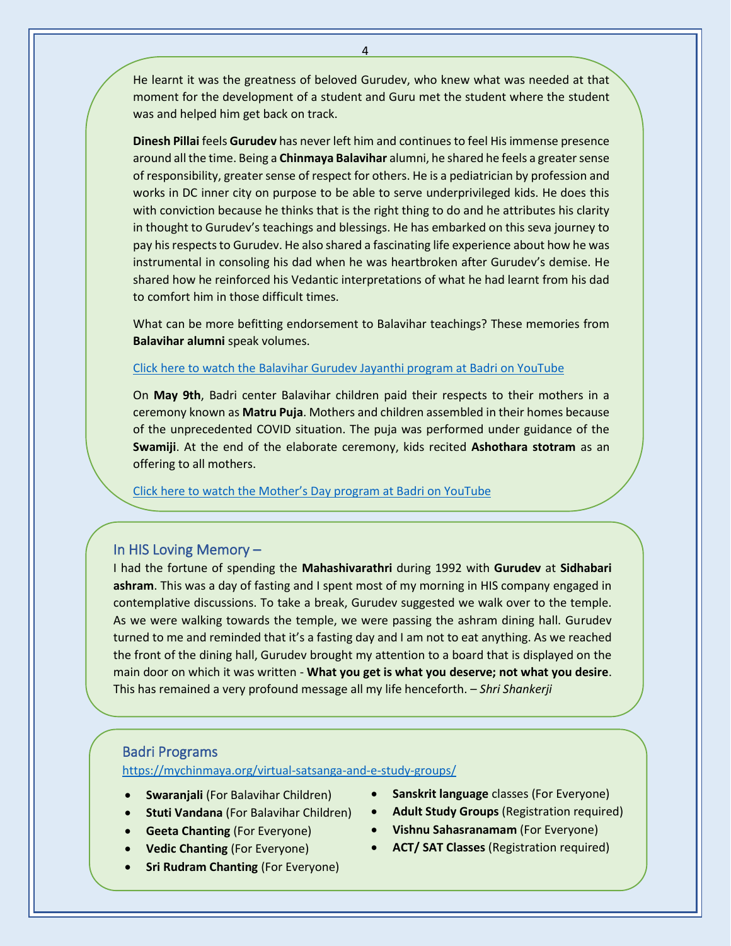He learnt it was the greatness of beloved Gurudev, who knew what was needed at that moment for the development of a student and Guru met the student where the student was and helped him get back on track.

**Dinesh Pillai** feels **Gurudev** has never left him and continues to feel His immense presence around all the time. Being a **Chinmaya Balavihar** alumni, he shared he feels a greater sense of responsibility, greater sense of respect for others. He is a pediatrician by profession and works in DC inner city on purpose to be able to serve underprivileged kids. He does this with conviction because he thinks that is the right thing to do and he attributes his clarity in thought to Gurudev's teachings and blessings. He has embarked on this seva journey to pay his respects to Gurudev. He also shared a fascinating life experience about how he was instrumental in consoling his dad when he was heartbroken after Gurudev's demise. He shared how he reinforced his Vedantic interpretations of what he had learnt from his dad to comfort him in those difficult times.

What can be more befitting endorsement to Balavihar teachings? These memories from **Balavihar alumni** speak volumes.

#### Click here to watch the Balavihar [Gurudev Jayanthi program at Badri on YouTube](https://www.youtube.com/watch?v=Ty6tGrDlPrI)

On **May 9th**, Badri center Balavihar children paid their respects to their mothers in a ceremony known as **Matru Puja**. Mothers and children assembled in their homes because of the unprecedented COVID situation. The puja was performed under guidance of the **Swamiji**. At the end of the elaborate ceremony, kids recited **Ashothara stotram** as an offering to all mothers.

[Click here to watch the Mother's Day program at Badri on YouTube](https://www.youtube.com/watch?v=DFUx8ax1BTU)

### <span id="page-3-0"></span>In HIS Loving Memory –

I had the fortune of spending the **Mahashivarathri** during 1992 with **Gurudev** at **Sidhabari ashram**. This was a day of fasting and I spent most of my morning in HIS company engaged in contemplative discussions. To take a break, Gurudev suggested we walk over to the temple. As we were walking towards the temple, we were passing the ashram dining hall. Gurudev turned to me and reminded that it's a fasting day and I am not to eat anything. As we reached the front of the dining hall, Gurudev brought my attention to a board that is displayed on the main door on which it was written - **What you get is what you deserve; not what you desire**. This has remained a very profound message all my life henceforth. – *Shri Shankerji*

#### <span id="page-3-1"></span>Badri Programs

<https://mychinmaya.org/virtual-satsanga-and-e-study-groups/>

- **Swaranjali** (For Balavihar Children)
- **Stuti Vandana** (For Balavihar Children)
- **Geeta Chanting** (For Everyone)
- **Vedic Chanting** (For Everyone)
- **Sri Rudram Chanting** (For Everyone)
- **Sanskrit language** classes (For Everyone)
- **Adult Study Groups** (Registration required)
- **Vishnu Sahasranamam** (For Everyone)
- **ACT/ SAT Classes** (Registration required)

4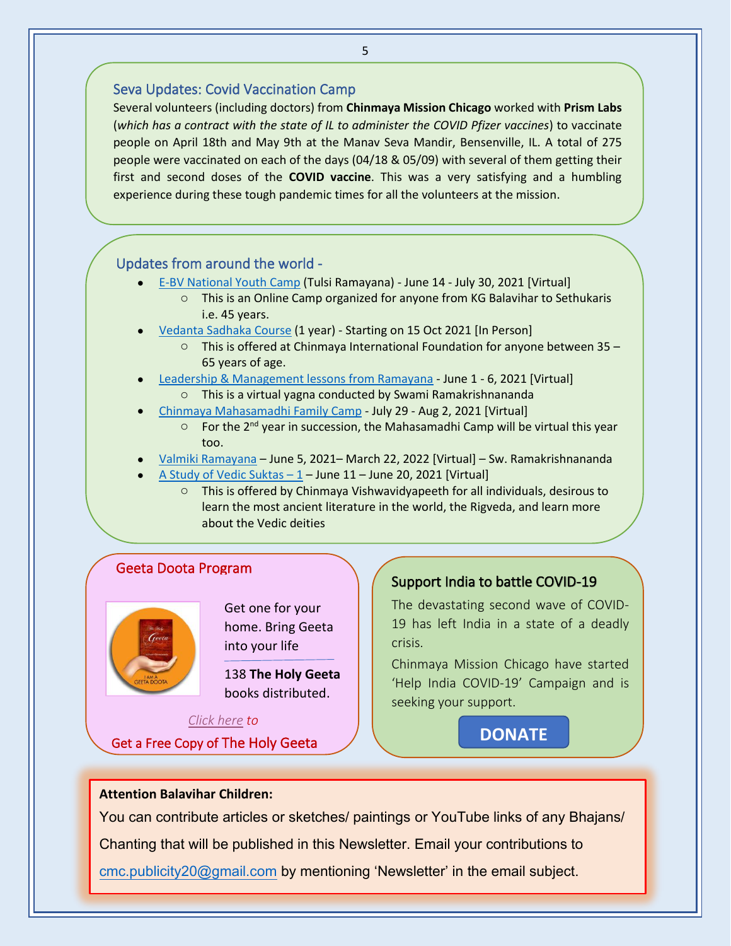## <span id="page-4-1"></span>Seva Updates: Covid Vaccination Camp

Several volunteers (including doctors) from **Chinmaya Mission Chicago** worked with **Prism Labs** (*which has a contract with the state of IL to administer the COVID Pfizer vaccines*) to vaccinate people on April 18th and May 9th at the Manav Seva Mandir, Bensenville, IL. A total of 275 people were vaccinated on each of the days (04/18 & 05/09) with several of them getting their first and second doses of the **COVID vaccine**. This was a very satisfying and a humbling experience during these tough pandemic times for all the volunteers at the mission.

## <span id="page-4-0"></span>Updates from around the world -

- [E-BV National Youth Camp](https://chinmayamissionwest.com/summercamp/) (Tulsi Ramayana) June 14 July 30, 2021 [Virtual]
	- o This is an Online Camp organized for anyone from KG Balavihar to Sethukaris i.e. 45 years.
- [Vedanta Sadhaka Course](https://chinfo.org/home/event/vedanta-sadhaka-course/50) (1 year) Starting on 15 Oct 2021 [In Person]
	- o This is offered at Chinmaya International Foundation for anyone between 35 65 years of age.
- [Leadership & Management lessons from Ramayana](https://www.chinmayamissionpittsburgh.org/activities-jnana-yajnas) June 1 6, 2021 [Virtual] o This is a virtual yagna conducted by Swami Ramakrishnananda
- [Chinmaya Mahasamadhi Family Camp](https://www.cmwrcregistration.org/chinmayaN/index.php?r=event/eventIndex) July 29 Aug 2, 2021 [Virtual]
	- $\circ$  For the 2<sup>nd</sup> year in succession, the Mahasamadhi Camp will be virtual this year too.
- [Valmiki Ramayana](https://chinfo.org/valmiki-ramayana) June 5, 2021– March 22, 2022 [Virtual] Sw. Ramakrishnananda
- [A Study of Vedic Suktas](https://www.cvv.ac.in/events/vedic-suktas-part1)  $-1$  June 11 June 20, 2021 [Virtual]
	- This is offered by Chinmaya Vishwavidyapeeth for all individuals, desirous to learn the most ancient literature in the world, the Rigveda, and learn more about the Vedic deities

## Geeta Doota Program



Get one for your home. Bring Geeta into your life

138 **The Holy Geeta** books distributed.

### *[Click here](https://mychinmaya.org/apps/geetadoota.cfm) to*

Get a Free Copy of The Holy Geeta

## Support India to battle COVID-19

The devastating second wave of COVID-19 has left India in a state of a deadly crisis.

Chinmaya Mission Chicago have started 'Help India COVID-19' Campaign and is seeking your support.

**[DONATE](https://www.chinmayamissionchicago.org/donate)**

### **Attention Balavihar Children:**

You can contribute articles or sketches/ paintings or YouTube links of any Bhajans/ Chanting that will be published in this Newsletter. Email your contributions to [cmc.publicity20@gmail.com](mailto:cmc.publicity20@gmail.com) by mentioning 'Newsletter' in the email subject.